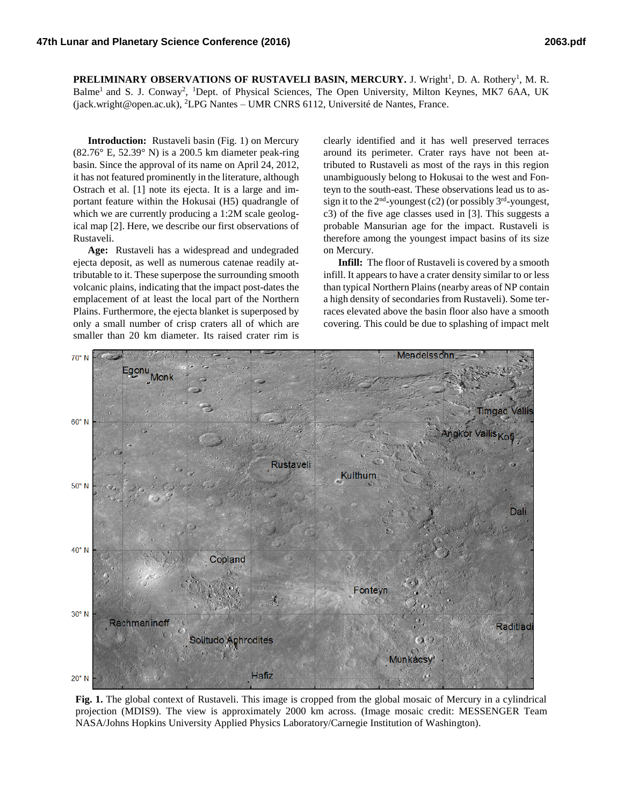**PRELIMINARY OBSERVATIONS OF RUSTAVELI BASIN, MERCURY.** J. Wright<sup>1</sup>, D. A. Rothery<sup>1</sup>, M. R. Balme<sup>1</sup> and S. J. Conway<sup>2</sup>, <sup>1</sup>Dept. of Physical Sciences, The Open University, Milton Keynes, MK7 6AA, UK (jack.wright@open.ac.uk), <sup>2</sup>LPG Nantes – UMR CNRS 6112, Université de Nantes, France.

**Introduction:** Rustaveli basin (Fig. 1) on Mercury  $(82.76^{\circ}$  E, 52.39° N) is a 200.5 km diameter peak-ring basin. Since the approval of its name on April 24, 2012, it has not featured prominently in the literature, although Ostrach et al. [1] note its ejecta. It is a large and important feature within the Hokusai (H5) quadrangle of which we are currently producing a 1:2M scale geological map [2]. Here, we describe our first observations of Rustaveli.

**Age:** Rustaveli has a widespread and undegraded ejecta deposit, as well as numerous catenae readily attributable to it. These superpose the surrounding smooth volcanic plains, indicating that the impact post-dates the emplacement of at least the local part of the Northern Plains. Furthermore, the ejecta blanket is superposed by only a small number of crisp craters all of which are smaller than 20 km diameter. Its raised crater rim is

clearly identified and it has well preserved terraces around its perimeter. Crater rays have not been attributed to Rustaveli as most of the rays in this region unambiguously belong to Hokusai to the west and Fonteyn to the south-east. These observations lead us to assign it to the  $2<sup>nd</sup>$ -youngest (c2) (or possibly  $3<sup>rd</sup>$ -youngest, c3) of the five age classes used in [3]. This suggests a probable Mansurian age for the impact. Rustaveli is therefore among the youngest impact basins of its size on Mercury.

**Infill:** The floor of Rustaveli is covered by a smooth infill. It appears to have a crater density similar to or less than typical Northern Plains(nearby areas of NP contain a high density of secondaries from Rustaveli). Some terraces elevated above the basin floor also have a smooth covering. This could be due to splashing of impact melt



**Fig. 1.** The global context of Rustaveli. This image is cropped from the global mosaic of Mercury in a cylindrical projection (MDIS9). The view is approximately 2000 km across. (Image mosaic credit: MESSENGER Team NASA/Johns Hopkins University Applied Physics Laboratory/Carnegie Institution of Washington).